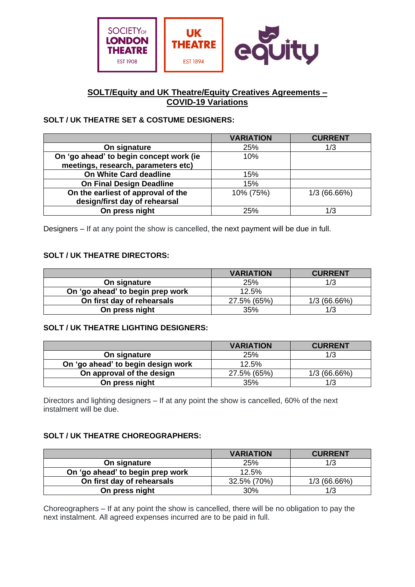

## **SOLT/Equity and UK Theatre/Equity Creatives Agreements – COVID-19 Variations**

# **SOLT / UK THEATRE SET & COSTUME DESIGNERS:**

|                                         | <b>VARIATION</b> | <b>CURRENT</b> |
|-----------------------------------------|------------------|----------------|
| On signature                            | 25%              | 1/3            |
| On 'go ahead' to begin concept work (ie | 10%              |                |
| meetings, research, parameters etc)     |                  |                |
| On White Card deadline                  | 15%              |                |
| <b>On Final Design Deadline</b>         | 15%              |                |
| On the earliest of approval of the      | 10% (75%)        | 1/3(66.66%)    |
| design/first day of rehearsal           |                  |                |
| On press night                          | 25%              | 1/3            |

Designers – If at any point the show is cancelled, the next payment will be due in full.

### **SOLT / UK THEATRE DIRECTORS:**

|                                  | <b>VARIATION</b> | <b>CURRENT</b> |
|----------------------------------|------------------|----------------|
| On signature                     | 25%              | 1/3            |
| On 'go ahead' to begin prep work | 12.5%            |                |
| On first day of rehearsals       | 27.5% (65%)      | 1/3(66.66%)    |
| On press night                   | 35%              | 1/3            |

### **SOLT / UK THEATRE LIGHTING DESIGNERS:**

|                                    | <b>VARIATION</b> | <b>CURRENT</b> |
|------------------------------------|------------------|----------------|
| On signature                       | 25%              | 1/3            |
| On 'go ahead' to begin design work | 12.5%            |                |
| On approval of the design          | 27.5% (65%)      | 1/3(66.66%)    |
| On press night                     | 35%              | 1/3            |

Directors and lighting designers – If at any point the show is cancelled, 60% of the next instalment will be due.

### **SOLT / UK THEATRE CHOREOGRAPHERS:**

|                                  | <b>VARIATION</b> | <b>CURRENT</b> |
|----------------------------------|------------------|----------------|
| On signature                     | 25%              | 1/3            |
| On 'go ahead' to begin prep work | 12.5%            |                |
| On first day of rehearsals       | 32.5% (70%)      | 1/3(66.66%)    |
| On press night                   | 30%              | 1/3            |

Choreographers – If at any point the show is cancelled, there will be no obligation to pay the next instalment. All agreed expenses incurred are to be paid in full.